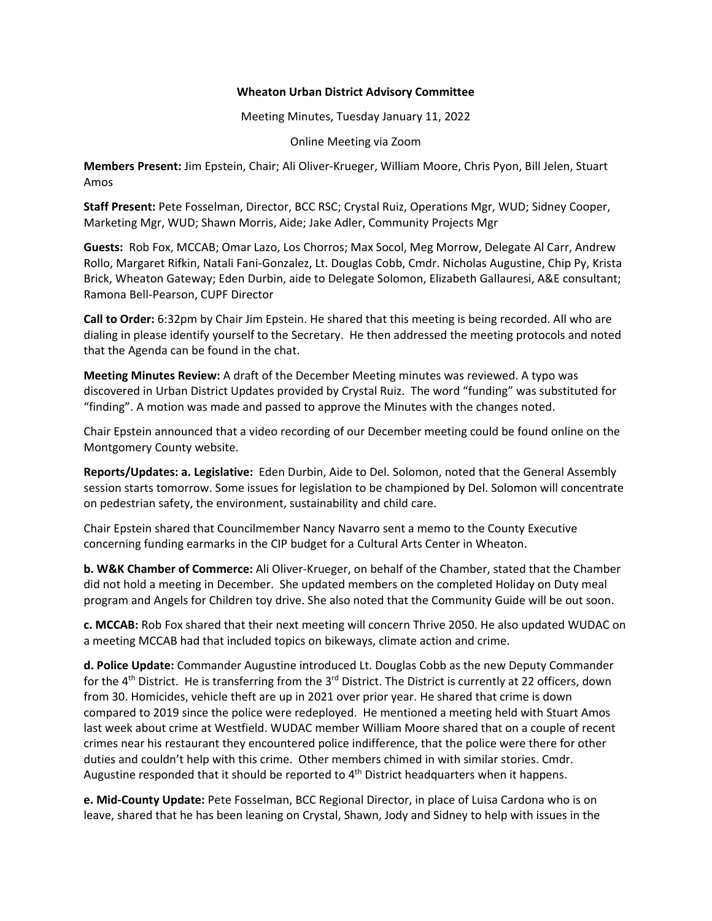## **Wheaton Urban District Advisory Committee**

Meeting Minutes, Tuesday January 11, 2022

Online Meeting via Zoom

**Members Present:** Jim Epstein, Chair; Ali Oliver‐Krueger, William Moore, Chris Pyon, Bill Jelen, Stuart Amos

**Staff Present:** Pete Fosselman, Director, BCC RSC; Crystal Ruiz, Operations Mgr, WUD; Sidney Cooper, Marketing Mgr, WUD; Shawn Morris, Aide; Jake Adler, Community Projects Mgr

**Guests:** Rob Fox, MCCAB; Omar Lazo, Los Chorros; Max Socol, Meg Morrow, Delegate Al Carr, Andrew Rollo, Margaret Rifkin, Natali Fani‐Gonzalez, Lt. Douglas Cobb, Cmdr. Nicholas Augustine, Chip Py, Krista Brick, Wheaton Gateway; Eden Durbin, aide to Delegate Solomon, Elizabeth Gallauresi, A&E consultant; Ramona Bell‐Pearson, CUPF Director

**Call to Order:** 6:32pm by Chair Jim Epstein. He shared that this meeting is being recorded. All who are dialing in please identify yourself to the Secretary. He then addressed the meeting protocols and noted that the Agenda can be found in the chat.

**Meeting Minutes Review:** A draft of the December Meeting minutes was reviewed. A typo was discovered in Urban District Updates provided by Crystal Ruiz. The word "funding" was substituted for "finding". A motion was made and passed to approve the Minutes with the changes noted.

Chair Epstein announced that a video recording of our December meeting could be found online on the Montgomery County website.

**Reports/Updates: a. Legislative:** Eden Durbin, Aide to Del. Solomon, noted that the General Assembly session starts tomorrow. Some issues for legislation to be championed by Del. Solomon will concentrate on pedestrian safety, the environment, sustainability and child care.

Chair Epstein shared that Councilmember Nancy Navarro sent a memo to the County Executive concerning funding earmarks in the CIP budget for a Cultural Arts Center in Wheaton.

**b. W&K Chamber of Commerce:** Ali Oliver‐Krueger, on behalf of the Chamber, stated that the Chamber did not hold a meeting in December. She updated members on the completed Holiday on Duty meal program and Angels for Children toy drive. She also noted that the Community Guide will be out soon.

**c. MCCAB:** Rob Fox shared that their next meeting will concern Thrive 2050. He also updated WUDAC on a meeting MCCAB had that included topics on bikeways, climate action and crime.

**d. Police Update:** Commander Augustine introduced Lt. Douglas Cobb as the new Deputy Commander for the 4<sup>th</sup> District. He is transferring from the 3<sup>rd</sup> District. The District is currently at 22 officers, down from 30. Homicides, vehicle theft are up in 2021 over prior year. He shared that crime is down compared to 2019 since the police were redeployed. He mentioned a meeting held with Stuart Amos last week about crime at Westfield. WUDAC member William Moore shared that on a couple of recent crimes near his restaurant they encountered police indifference, that the police were there for other duties and couldn't help with this crime. Other members chimed in with similar stories. Cmdr. Augustine responded that it should be reported to 4<sup>th</sup> District headquarters when it happens.

**e. Mid‐County Update:** Pete Fosselman, BCC Regional Director, in place of Luisa Cardona who is on leave, shared that he has been leaning on Crystal, Shawn, Jody and Sidney to help with issues in the